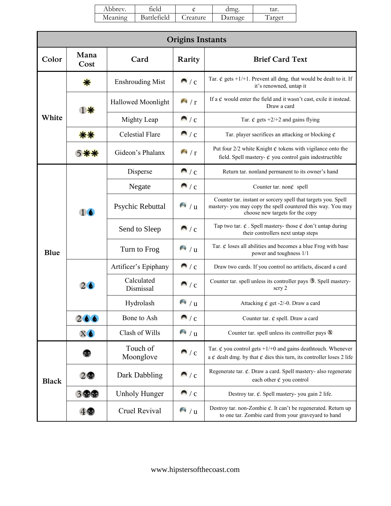| Abbrev. | eld.        |          | dme    | tar.  |
|---------|-------------|----------|--------|-------|
| Meaning | Battlefield | _reature | Jamage | arget |

| <b>Origins Instants</b> |               |                           |                          |                                                                                                                                                                 |  |
|-------------------------|---------------|---------------------------|--------------------------|-----------------------------------------------------------------------------------------------------------------------------------------------------------------|--|
| Color                   | Mana<br>Cost  | Card                      | Rarity                   | <b>Brief Card Text</b>                                                                                                                                          |  |
| White                   | 寮             | <b>Enshrouding Mist</b>   | $\bigcap$ / $C$          | Tar. $\phi$ gets +1/+1. Prevent all dmg. that would be dealt to it. If<br>it's renowned, untap it                                                               |  |
|                         | 1 寮           | <b>Hallowed Moonlight</b> | $\sqrt{1 + \frac{1}{r}}$ | If a $\phi$ would enter the field and it wasn't cast, exile it instead.<br>Draw a card                                                                          |  |
|                         |               | Mighty Leap               | $\sqrt{c}$               | Tar. $\phi$ gets +2/+2 and gains flying                                                                                                                         |  |
|                         |               | <b>Celestial Flare</b>    | $\sqrt{c}$               | Tar. player sacrifices an attacking or blocking $\phi$                                                                                                          |  |
|                         |               | Gideon's Phalanx          | $\sqrt{1 + r^2}$         | Put four $2/2$ white Knight $\phi$ tokens with vigilance onto the<br>field. Spell mastery- $\phi$ you control gain indestructible                               |  |
|                         | 16            | Disperse                  | M/c                      | Return tar. nonland permanent to its owner's hand                                                                                                               |  |
|                         |               | Negate                    | $\sqrt{c}$               | Counter tar. non $\phi$ spell                                                                                                                                   |  |
| Blue                    |               | Psychic Rebuttal          | $^{\bullet}$ / u         | Counter tar. instant or sorcery spell that targets you. Spell<br>mastery- you may copy the spell countered this way. You may<br>choose new targets for the copy |  |
|                         |               | Send to Sleep             | $\blacksquare$ / c       | Tap two tar. $\phi$ . Spell mastery-those $\phi$ don't untap during<br>their controllers next untap steps                                                       |  |
|                         |               | Turn to Frog              | $^{\bullet}$ / u         | Tar. $\phi$ loses all abilities and becomes a blue Frog with base<br>power and toughness 1/1                                                                    |  |
|                         | 26            | Artificer's Epiphany      | $\sqrt{c}$               | Draw two cards. If you control no artifacts, discard a card                                                                                                     |  |
|                         |               | Calculated<br>Dismissal   | $\sqrt{c}$               | Counter tar. spell unless its controller pays 3. Spell mastery-<br>scry 2                                                                                       |  |
|                         |               | Hydrolash                 | $\sqrt{4}$ / u           | Attacking $\phi$ get -2/-0. Draw a card                                                                                                                         |  |
|                         | 266           | Bone to Ash               | $\sqrt{c}$               | Counter tar. $\phi$ spell. Draw a card                                                                                                                          |  |
|                         | $X$ $\bullet$ | Clash of Wills            | $\sqrt{u}$               | Counter tar. spell unless its controller pays $\mathbb{X}$                                                                                                      |  |
| <b>Black</b>            |               | Touch of<br>Moonglove     | $\sqrt{c}$               | Tar. $\phi$ you control gets +1/+0 and gains deathtouch. Whenever<br>a $\phi$ dealt dmg. by that $\phi$ dies this turn, its controller loses 2 life             |  |
|                         | 2             | Dark Dabbling             | $\sqrt{c}$               | Regenerate tar. $\phi$ . Draw a card. Spell mastery- also regenerate<br>each other $\phi$ you control                                                           |  |
|                         | 3 雷雷          | <b>Unholy Hunger</b>      | $\sqrt{c}$               | Destroy tar. $\phi$ . Spell mastery-you gain 2 life.                                                                                                            |  |
|                         |               | Cruel Revival             | $\sqrt{u}$               | Destroy tar. non-Zombie $\phi$ . It can't be regenerated. Return up<br>to one tar. Zombie card from your graveyard to hand                                      |  |